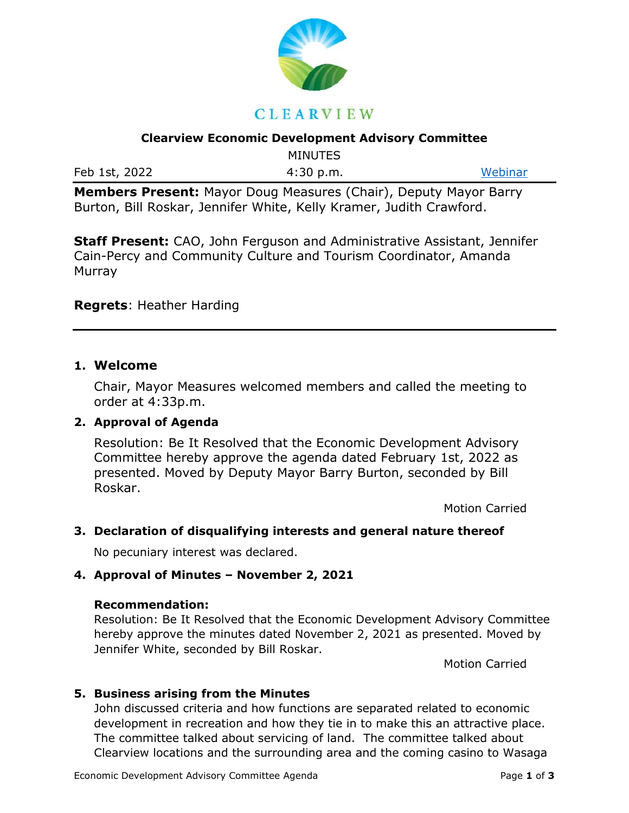

#### **Clearview Economic Development Advisory Committee**

MINUTES

**Members Present:** Mayor Doug Measures (Chair), Deputy Mayor Barry Burton, Bill Roskar, Jennifer White, Kelly Kramer, Judith Crawford.

**Staff Present:** CAO, John Ferguson and Administrative Assistant, Jennifer Cain-Percy and Community Culture and Tourism Coordinator, Amanda **Murray** 

### **Regrets**: Heather Harding

### **1. Welcome**

Chair, Mayor Measures welcomed members and called the meeting to order at 4:33p.m.

### **2. Approval of Agenda**

Resolution: Be It Resolved that the Economic Development Advisory Committee hereby approve the agenda dated February 1st, 2022 as presented. Moved by Deputy Mayor Barry Burton, seconded by Bill Roskar.

Motion Carried

## **3. Declaration of disqualifying interests and general nature thereof**

No pecuniary interest was declared.

### **4. Approval of Minutes – November 2, 2021**

### **Recommendation:**

Resolution: Be It Resolved that the Economic Development Advisory Committee hereby approve the minutes dated November 2, 2021 as presented. Moved by Jennifer White, seconded by Bill Roskar.

Motion Carried

### **5. Business arising from the Minutes**

John discussed criteria and how functions are separated related to economic development in recreation and how they tie in to make this an attractive place. The committee talked about servicing of land. The committee talked about Clearview locations and the surrounding area and the coming casino to Wasaga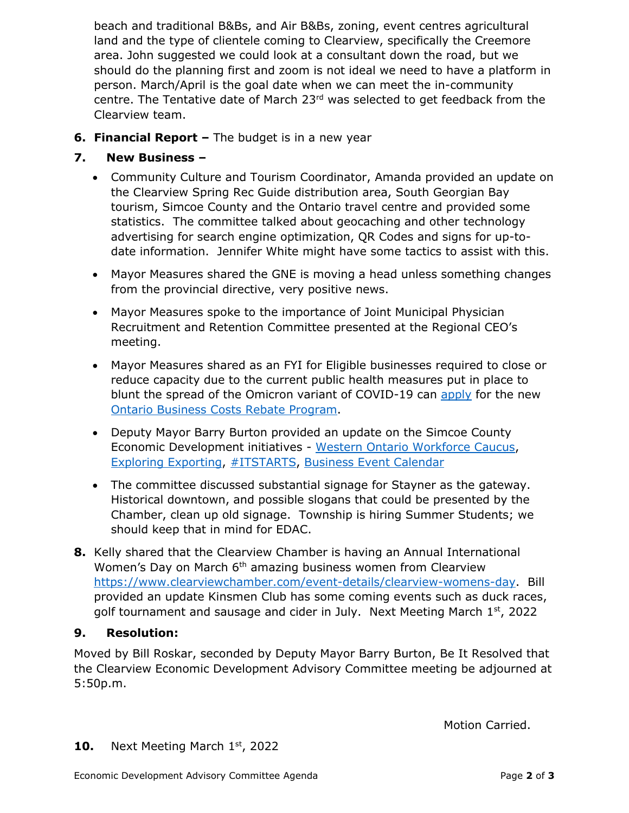beach and traditional B&Bs, and Air B&Bs, zoning, event centres agricultural land and the type of clientele coming to Clearview, specifically the Creemore area. John suggested we could look at a consultant down the road, but we should do the planning first and zoom is not ideal we need to have a platform in person. March/April is the goal date when we can meet the in-community centre. The Tentative date of March 23rd was selected to get feedback from the Clearview team.

**6. Financial Report –** The budget is in a new year

# **7. New Business –**

- Community Culture and Tourism Coordinator, Amanda provided an update on the Clearview Spring Rec Guide distribution area, South Georgian Bay tourism, Simcoe County and the Ontario travel centre and provided some statistics. The committee talked about geocaching and other technology advertising for search engine optimization, QR Codes and signs for up-todate information. Jennifer White might have some tactics to assist with this.
- Mayor Measures shared the GNE is moving a head unless something changes from the provincial directive, very positive news.
- Mayor Measures spoke to the importance of Joint Municipal Physician Recruitment and Retention Committee presented at the Regional CEO's meeting.
- Mayor Measures shared as an FYI for Eligible businesses required to close or reduce capacity due to the current public health measures put in place to blunt the spread of the Omicron variant of COVID-19 can [apply](https://r20.rs6.net/tn.jsp?f=001xoQTZyrzJ5txH6Plxo2w1hRZCaayMT6uxRfjX6oinfOTlJdIMTaaXH2vZWHUZ_yycLADwFgLCJXy4SpO2yUQuJxi_Foy5486bQlpiARzQBJCwgBBtKsTrJ_GoetvNrms0zOOay4_KaK-PimTlYbNrLxPi9dF4NZPFmRRtzJgtcCCyQvF8XNobZc2TGf2g7KlPqVYpQzSfQWD5emyAwHjoj3NfQI8N3LqDvq4csGn1B9dGd_Y1hgY0l8wuaE90wMuDmxwPBqszqWjnCCw3dwWQrpKzEJ9tgHAW0Q36OkYgLClUQT0fB2hZrTB4Je9v5mAricPrp95to1_5tyDY-T0JN7ETlSRklbDEC9fmO_flED3W_dBsPx_TUBFJtqOR18j2GWCMJblfaHk9LsllV5YFPBvPZiVEryjK3TuGUK9SA_cBEEIrCf5Dpp9YHAXtUOMNxFxQLM7YqtMxi9hpvCmf0F3hp-jZm9BEvaVVpeYEuOX3ixND-t7AOfigAsgYRDye4aF0dxV9s47APrxM4ghjx7N1JGRFLkhJtjRWVPicIsW-fRG-SZIFUnzRv8q7mEdzdhDjxYFbF6P_8OmYPNvs7noweY3LMHAR7m84tITyg6nt4L1PS51HFvJ2oH6RFEO-Vmr8An3cNXXv6yHr9Ybo8jhL4EoefG6m6wcBuR1dy9IJEcGLWwHIKdx-4E8JThN8D7tHCdBMNjyoCnNWNmHdnICW_EsY6LwkqkUtWRuhnhzm13q0ZfzP2-i06ziQjqYBBTecn2wAkPCyACgEEkO6keyuUWarhV67wmyeLatBvn2dHEyFxMZTPURVrbzfvvUj74ihKI6xzPZcN4jQn4MPvk1ZJd6vmpsu0lfDDqFWlByIyzabWVTSdL_nXqejDB7O8nMUJB6Ksj_DhWkc3bGt_KsJNzjXZvI8vfZC8SzZyjnRpZw-ZlHdUKPLnjTrad2pcfbW9N52Gak0w5iZVd8ogNJGlNv9INE3JbIcZQUDOYN_YJ5gMaE3cPFv0cYSyrVx94fHr_UxdiEUjTQia3B0S5LI9h5Vpd_NyQjruAbjir32kQg_Wvt0azD_mElxRXPp2MDGLf7ZFKaahDXfQdYfXn1U6aGeL1DyUmq8swExE4gPCHL0roSpY4pUayLGcSmcXbkJy8otOJx1hFC8twVZeOZEe2v8yvmWNA-Zql0rq0RgJxIvKlzCOHT6HaodIGOkPxiA1HtAeiAoJY-altGyIK2K4rhxBgfyMIlJrF1T6ZhU1vdielSyxbXST8oUyXo1iQNKSurHSoAbZgZcpZ8786mU5uRQHRIpHsgDcAVsjM9Ec101GTF9LhiVeH9U6uYoSTwf4NHMyp3Y47VbVXR_hAwBHqR4M3mPX5a3CIWnUGfE7ZChd27meJGG7D27SPQvR_oy0udc9ua_Eb5xgYe5ZEinQ5NGvbu9o6sQvbVTvBLqGBjL3nqjnVuS2fIWpMNr1QxGuU0yUZ1cATBNf6w-8RFZk_2AwD-&c=H2LZbWx7uHny2-uiV6jOvqYgwu9LTOZMJdZw5P8T16WmfEk_Ewm6SQ==&ch=8NKaAamZ7aezV4Oq4L3Q2Ub1Dw5bEgMNzmzk4Cdm-acSMl-QrQrAbg==) for the new [Ontario Business Costs Rebate Program.](https://r20.rs6.net/tn.jsp?f=001xoQTZyrzJ5txH6Plxo2w1hRZCaayMT6uxRfjX6oinfOTlJdIMTaaXH2vZWHUZ_yyns2JLb_cR1kqNVM4A_lGOdgi8GqkzGVlzM5xhgyUm-WcGgtkYT3OQGqEVJDeOB9uw3QJxyhQyL3AVTmfPAiljIOA_MlLeUtPSUxrnXBtLERNTIk9ldRJPpOxbB5O1cGMmyJv6NIc2DT5OAGkWJAR3MjR4iRu4Vd2ysxn52pA37XM5Y32u5B3q9SKTOT_tTCIReWRF5T_rWiGfm8zMnS57w-jrkDcldLaquUz1_6tPslCPfT50Na3KyKCLHNazqls8NwA5lnMHlpoiKPDneiUqurNH1lq4bu6Oa3vuuAKNYwSU4fUelxopn55wLinauBD0zrYoAdKe4YH4W_IjOBgeJUrFGaSm3E5PGdYExC8crrOzj1bkfb-PrpNds0nRYvNln-HesRt_4gFRfwDp9Uf95ZU3kWb9OQxecOZnOgzkiN3Q3ZtTb1adXQ8UG50ThvUlxdqkvwC2w0IJPrf7rB4q9-DibMloHoZwfjJgeq1yIHkWPEmon6agUKesQ4Lvb_HC6FNyo3jx7uKdsOiiiX2qscb6FoRgXxaCwOwYJsIjtD_3--q-_pShN1tTsYL0-gVk4cviQnVx2k3h6HzKkQIm6TwPvpeR24hZcjsJEsiAN7DI6Py8hHMrXvRGwtxmvFv-pIFKuJJuYpGqDVnIvoVEux1pCKlfmSPgO5-V65FWVSrAqtRtM0PYEFmYnBl0P3iP9WZZa6x9yZzNptUn4cEvLb-XFFGHaWOyHec6HKKv4_d_AODkTAjJ3RuDE6egWIC31DuYt69rPV9e2MSK0fmbH5ISouyHsF0ZA4WTB2NxkoRy12WLb1_aEx1d1Sw5tboJmMn0pTS30ymG58ZfQ6paLkja3GDAseGNxgfK7_0be2ijqPVTlC2NfeT0BXRSq7sk-pdSFnPNRA4pYObMrWV3r3ZPQwInyAA5wvrIap85ksmAjmMIOkOs_WHXSZ1DZleIhOc9ALzDUr1YvMiQu3ibjJLCJKZzP8eNa2HKgX5usYM3rY6bZUr1mTfB2n25z7otP4ZhyzyjqV-4_0hdeVA_edPbb6JADq0I3bjKModAQwLZiHU8U6WVIQnJUxKOYPbSYXD6a47TiEZLp2PBRDj3QtWBoDmzbNpwEQYN8UrwWXZNz9jsSL-YuzIOge8SN5rNb0E53OIrDGNItMWddxIaV_uqHHES3zpduAvjZgeN7hQKSNgU2-sVL9NXNYCoQvhsV7xYIP2CLvf51TFbDg_nFQz1WLrmBuGP6vl-zXZdImeeEdTbt35yvH6IgyUvDgqclFVYz6EDkB5xv-F3VUGrutKaOB9c9njEXkrU3ettUTMNxdPsgfIPpdLaP0Vci47nbedVJX3nLdRJLSla5EY-0s23MqXQBXvFLTV69ZMXu7LBxpDWq1Gh9Z0g48x1eu8snSONa7lFnj9FfWQvPFoxeRM33cYCri1&c=H2LZbWx7uHny2-uiV6jOvqYgwu9LTOZMJdZw5P8T16WmfEk_Ewm6SQ==&ch=8NKaAamZ7aezV4Oq4L3Q2Ub1Dw5bEgMNzmzk4Cdm-acSMl-QrQrAbg==)
- Deputy Mayor Barry Burton provided an update on the Simcoe County Economic Development initiatives - [Western Ontario Workforce Caucus,](mailto:https://wowc.ca/western-ontario-workforce-strategy/%23:~:text=The%20Western%20Ontario%20Workforce%20Strategy,and%20the%20Province%20of%20Ontario.) [Exploring Exporting,](mailto:https://www.youtube.com/watch?v=ScvCss-h1vI) [#ITSTARTS,](https://events.eventzilla.net/e/ambassador-information-session--2138818924) [Business Event Calendar](https://edo.simcoe.ca/events-news-and-videos/events)
- The committee discussed substantial signage for Stayner as the gateway. Historical downtown, and possible slogans that could be presented by the Chamber, clean up old signage. Township is hiring Summer Students; we should keep that in mind for EDAC.
- **8.** Kelly shared that the Clearview Chamber is having an Annual International Women's Day on March 6<sup>th</sup> amazing business women from Clearview [https://www.clearviewchamber.com/event-details/clearview-womens-day.](https://www.clearviewchamber.com/event-details/clearview-womens-day) Bill provided an update Kinsmen Club has some coming events such as duck races, golf tournament and sausage and cider in July. Next Meeting March 1st, 2022

## **9. Resolution:**

Moved by Bill Roskar, seconded by Deputy Mayor Barry Burton, Be It Resolved that the Clearview Economic Development Advisory Committee meeting be adjourned at 5:50p.m.

Motion Carried.